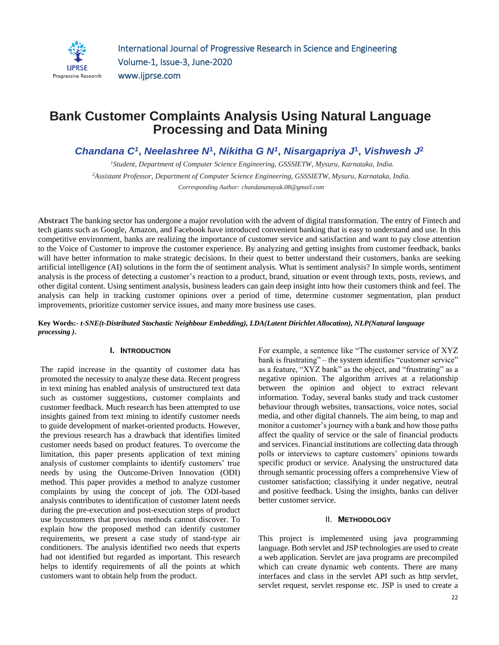

## **Bank Customer Complaints Analysis Using Natural Language Processing and Data Mining**

*Chandana C<sup>1</sup>* **,** *Neelashree N***<sup>1</sup> ,** *Nikitha G N<sup>1</sup>* **,** *Nisargapriya J***<sup>1</sup> ,** *Vishwesh J***<sup>2</sup>**

*<sup>1</sup>Student, Department of Computer Science Engineering, GSSSIETW, Mysuru, Karnataka, India. <sup>2</sup>Assistant Professor, Department of Computer Science Engineering, GSSSIETW, Mysuru, Karnataka, India. Corresponding Author: chandananayak.08@gmail.com*

**Abstract** The banking sector has undergone a major revolution with the advent of digital transformation. The entry of Fintech and tech giants such as Google, Amazon, and Facebook have introduced convenient banking that is easy to understand and use. In this competitive environment, banks are realizing the importance of customer service and satisfaction and want to pay close attention to the Voice of Customer to improve the customer experience. By analyzing and getting insights from customer feedback, banks will have better information to make strategic decisions. In their quest to better understand their customers, banks are seeking artificial intelligence (AI) solutions in the form the of sentiment analysis. What is sentiment analysis? In simple words, sentiment analysis is the process of detecting a customer's reaction to a product, brand, situation or event through texts, posts, reviews, and other digital content. Using sentiment analysis, business leaders can gain deep insight into how their customers think and feel. The analysis can help in tracking customer opinions over a period of time, determine customer segmentation, plan product improvements, prioritize customer service issues, and many more business use cases.

**Key Words:-** *t-SNE(t-Distributed Stochastic Neighbour Embedding), LDA(Latent Dirichlet Allocation), NLP(Natural language processing )***.**

#### **I. INTRODUCTION**

The rapid increase in the quantity of customer data has promoted the necessity to analyze these data. Recent progress in text mining has enabled analysis of unstructured text data such as customer suggestions, customer complaints and customer feedback. Much research has been attempted to use insights gained from text mining to identify customer needs to guide development of market-oriented products. However, the previous research has a drawback that identifies limited customer needs based on product features. To overcome the limitation, this paper presents application of text mining analysis of customer complaints to identify customers' true needs by using the Outcome-Driven Innovation (ODI) method. This paper provides a method to analyze customer complaints by using the concept of job. The ODI-based analysis contributes to identification of customer latent needs during the pre-execution and post-execution steps of product use bycustomers that previous methods cannot discover. To explain how the proposed method can identify customer requirements, we present a case study of stand-type air conditioners. The analysis identified two needs that experts had not identified but regarded as important. This research helps to identify requirements of all the points at which customers want to obtain help from the product.

For example, a sentence like "The customer service of XYZ bank is frustrating" – the system identifies "customer service" as a feature, "XYZ bank" as the object, and "frustrating" as a negative opinion. The algorithm arrives at a relationship between the opinion and object to extract relevant information. Today, several banks study and track customer behaviour through websites, transactions, voice notes, social media, and other digital channels. The aim being, to map and monitor a customer's journey with a bank and how those paths affect the quality of service or the sale of financial products and services. Financial institutions are collecting data through polls or interviews to capture customers' opinions towards specific product or service. Analysing the unstructured data through semantic processing offers a comprehensive View of customer satisfaction; classifying it under negative, neutral and positive feedback. Using the insights, banks can deliver better customer service.

## II. **METHODOLOGY**

This project is implemented using java programming language. Both servlet and JSP technologies are used to create a web application. Servlet are java programs are precompiled which can create dynamic web contents. There are many interfaces and class in the servlet API such as http servlet, servlet request, servlet response etc. JSP is used to create a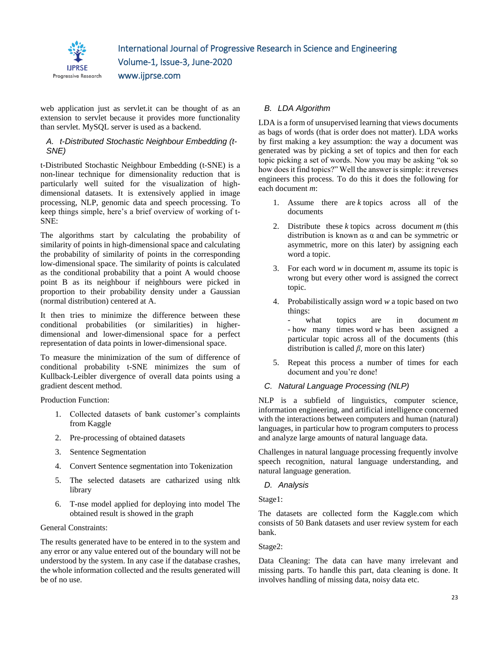

web application just as servlet.it can be thought of as an extension to servlet because it provides more functionality than servlet. MySQL server is used as a backend.

## *A. t-Distributed Stochastic Neighbour Embedding (t-SNE)*

t-Distributed Stochastic Neighbour Embedding (t-SNE) is a non-linear technique for dimensionality reduction that is particularly well suited for the visualization of highdimensional datasets. It is extensively applied in image processing, NLP, genomic data and speech processing. To keep things simple, here's a brief overview of working of t-SNE:

The algorithms start by calculating the probability of similarity of points in high-dimensional space and calculating the probability of similarity of points in the corresponding low-dimensional space. The similarity of points is calculated as the conditional probability that a point A would choose point B as its neighbour if neighbours were picked in proportion to their probability density under a Gaussian (normal distribution) centered at A.

It then tries to minimize the difference between these conditional probabilities (or similarities) in higherdimensional and lower-dimensional space for a perfect representation of data points in lower-dimensional space.

To measure the minimization of the sum of difference of conditional probability t-SNE minimizes the sum of Kullback-Leibler divergence of overall data points using a gradient descent method.

Production Function:

- 1. Collected datasets of bank customer's complaints from Kaggle
- 2. Pre-processing of obtained datasets
- 3. Sentence Segmentation
- 4. Convert Sentence segmentation into Tokenization
- 5. The selected datasets are catharized using nltk library
- 6. T-nse model applied for deploying into model The obtained result is showed in the graph

## General Constraints:

The results generated have to be entered in to the system and any error or any value entered out of the boundary will not be understood by the system. In any case if the database crashes, the whole information collected and the results generated will be of no use.

## *B. LDA Algorithm*

LDA is a form of unsupervised learning that views documents as bags of words (that is order does not matter). LDA works by first making a key assumption: the way a document was generated was by picking a set of topics and then for each topic picking a set of words. Now you may be asking "ok so how does it find topics?" Well the answer is simple: it reverses engineers this process. To do this it does the following for each document *m*:

- 1. Assume there are *k* topics across all of the documents
- 2. Distribute these *k* topics across document *m* (this distribution is known as  $\alpha$  and can be symmetric or asymmetric, more on this later) by assigning each word a topic.
- 3. For each word *w* in document *m*, assume its topic is wrong but every other word is assigned the correct topic.
- 4. Probabilistically assign word *w* a topic based on two things:

- what topics are in document *m -* how many times word *w* has been assigned a particular topic across all of the documents (this distribution is called *β*, more on this later)

5. Repeat this process a number of times for each document and you're done!

## *C. Natural Language Processing (NLP)*

NLP is a subfield of linguistics, computer science, information engineering, and artificial intelligence concerned with the interactions between computers and human (natural) languages, in particular how to program computers to process and analyze large amounts of natural language data.

Challenges in natural language processing frequently involve speech recognition, natural language understanding, and natural language generation.

## *D. Analysis*

Stage1:

The datasets are collected form the Kaggle.com which consists of 50 Bank datasets and user review system for each bank.

Stage2:

Data Cleaning: The data can have many irrelevant and missing parts. To handle this part, data cleaning is done. It involves handling of missing data, noisy data etc.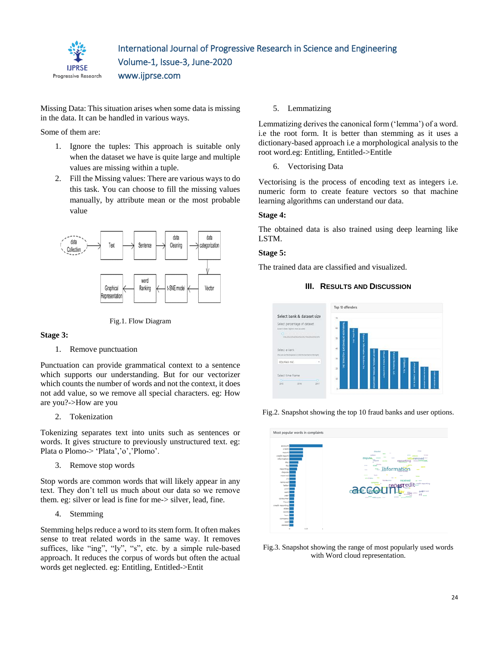

Missing Data: This situation arises when some data is missing in the data. It can be handled in various ways.

Some of them are:

- 1. Ignore the tuples: This approach is suitable only when the dataset we have is quite large and multiple values are missing within a tuple.
- 2. Fill the Missing values: There are various ways to do this task. You can choose to fill the missing values manually, by attribute mean or the most probable value



Fig.1. Flow Diagram

**Stage 3:**

#### 1. Remove punctuation

Punctuation can provide grammatical context to a sentence which supports our understanding. But for our vectorizer which counts the number of words and not the context, it does not add value, so we remove all special characters. eg: How are you?->How are you

2. Tokenization

Tokenizing separates text into units such as sentences or words. It gives structure to previously unstructured text. eg: Plata o Plomo-> 'Plata','o','Plomo'.

3. Remove stop words

Stop words are common words that will likely appear in any text. They don't tell us much about our data so we remove them. eg: silver or lead is fine for me-> silver, lead, fine.

4. Stemming

Stemming helps reduce a word to its stem form. It often makes sense to treat related words in the same way. It removes suffices, like "ing", "ly", "s", etc. by a simple rule-based approach. It reduces the corpus of words but often the actual words get neglected. eg: Entitling, Entitled->Entit

5. Lemmatizing

Lemmatizing derives the canonical form ('lemma') of a word. i.e the root form. It is better than stemming as it uses a dictionary-based approach i.e a morphological analysis to the root word.eg: Entitling, Entitled->Entitle

6. Vectorising Data

Vectorising is the process of encoding text as integers i.e. numeric form to create feature vectors so that machine learning algorithms can understand our data.

## **Stage 4:**

The obtained data is also trained using deep learning like LSTM.

## **Stage 5:**

The trained data are classified and visualized.





Fig.2. Snapshot showing the top 10 fraud banks and user options.



Fig.3. Snapshot showing the range of most popularly used words with Word cloud representation.